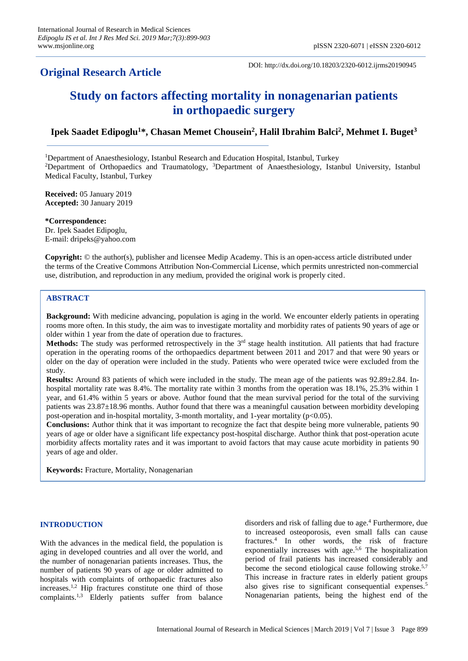## **Original Research Article**

DOI: http://dx.doi.org/10.18203/2320-6012.ijrms20190945

# **Study on factors affecting mortality in nonagenarian patients in orthopaedic surgery**

### **Ipek Saadet Edipoglu<sup>1</sup>\*, Chasan Memet Chousein<sup>2</sup> , Halil Ibrahim Balci 2 , Mehmet I. Buget<sup>3</sup>**

<sup>1</sup>Department of Anaesthesiology, Istanbul Research and Education Hospital, Istanbul, Turkey <sup>2</sup>Department of Orthopaedics and Traumatology, <sup>3</sup>Department of Anaesthesiology, Istanbul University, Istanbul Medical Faculty, Istanbul, Turkey

**Received:** 05 January 2019 **Accepted:** 30 January 2019

**\*Correspondence:** Dr. Ipek Saadet Edipoglu, E-mail: dripeks@yahoo.com

**Copyright:** © the author(s), publisher and licensee Medip Academy. This is an open-access article distributed under the terms of the Creative Commons Attribution Non-Commercial License, which permits unrestricted non-commercial use, distribution, and reproduction in any medium, provided the original work is properly cited.

#### **ABSTRACT**

**Background:** With medicine advancing, population is aging in the world. We encounter elderly patients in operating rooms more often. In this study, the aim was to investigate mortality and morbidity rates of patients 90 years of age or older within 1 year from the date of operation due to fractures.

**Methods:** The study was performed retrospectively in the 3<sup>rd</sup> stage health institution. All patients that had fracture operation in the operating rooms of the orthopaedics department between 2011 and 2017 and that were 90 years or older on the day of operation were included in the study. Patients who were operated twice were excluded from the study.

**Results:** Around 83 patients of which were included in the study. The mean age of the patients was  $92.89\pm2.84$ . Inhospital mortality rate was 8.4%. The mortality rate within 3 months from the operation was 18.1%, 25.3% within 1 year, and 61.4% within 5 years or above. Author found that the mean survival period for the total of the surviving patients was 23.87±18.96 months. Author found that there was a meaningful causation between morbidity developing post-operation and in-hospital mortality, 3-month mortality, and 1-year mortality (p<0.05).

**Conclusions:** Author think that it was important to recognize the fact that despite being more vulnerable, patients 90 years of age or older have a significant life expectancy post-hospital discharge. Author think that post-operation acute morbidity affects mortality rates and it was important to avoid factors that may cause acute morbidity in patients 90 years of age and older.

**Keywords:** Fracture, Mortality, Nonagenarian

#### **INTRODUCTION**

With the advances in the medical field, the population is aging in developed countries and all over the world, and the number of nonagenarian patients increases. Thus, the number of patients 90 years of age or older admitted to hospitals with complaints of orthopaedic fractures also increases.1,2 Hip fractures constitute one third of those complaints.1,3 Elderly patients suffer from balance disorders and risk of falling due to age.<sup>4</sup> Furthermore, due to increased osteoporosis, even small falls can cause fractures.<sup>4</sup> In other words, the risk of fracture exponentially increases with age.<sup>5,6</sup> The hospitalization period of frail patients has increased considerably and become the second etiological cause following stroke.<sup>5,7</sup> This increase in fracture rates in elderly patient groups also gives rise to significant consequential expenses.<sup>5</sup> Nonagenarian patients, being the highest end of the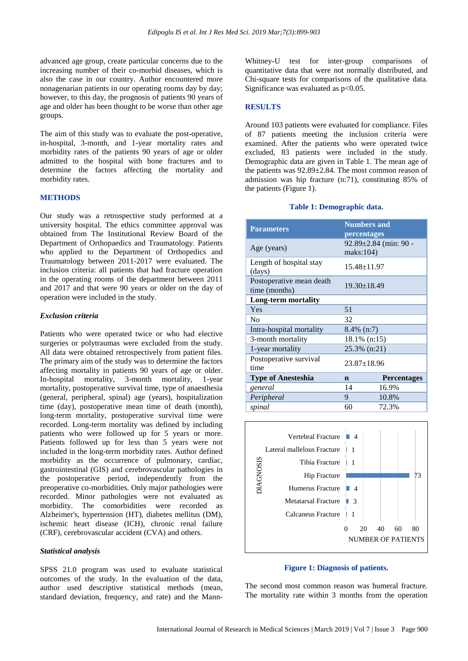advanced age group, create particular concerns due to the increasing number of their co-morbid diseases, which is also the case in our country. Author encountered more nonagenarian patients in our operating rooms day by day; however, to this day, the prognosis of patients 90 years of age and older has been thought to be worse than other age groups.

The aim of this study was to evaluate the post-operative, in-hospital, 3-month, and 1-year mortality rates and morbidity rates of the patients 90 years of age or older admitted to the hospital with bone fractures and to determine the factors affecting the mortality and morbidity rates.

#### **METHODS**

Our study was a retrospective study performed at a university hospital. The ethics committee approval was obtained from The Institutional Review Board of the Department of Orthopaedics and Traumatology. Patients who applied to the Department of Orthopedics and Traumatology between 2011-2017 were evaluated. The inclusion criteria: all patients that had fracture operation in the operating rooms of the department between 2011 and 2017 and that were 90 years or older on the day of operation were included in the study.

#### *Exclusion criteria*

Patients who were operated twice or who had elective surgeries or polytraumas were excluded from the study. All data were obtained retrospectively from patient files. The primary aim of the study was to determine the factors affecting mortality in patients 90 years of age or older. In-hospital mortality, 3-month mortality, 1-year mortality, postoperative survival time, type of anaesthesia (general, peripheral, spinal) age (years), hospitalization time (day), postoperative mean time of death (month), long-term mortality, postoperative survival time were recorded. Long-term mortality was defined by including patients who were followed up for 5 years or more. Patients followed up for less than 5 years were not included in the long-term morbidity rates. Author defined morbidity as the occurrence of pulmonary, cardiac, gastrointestinal (GIS) and cerebrovascular pathologies in the postoperative period, independently from the preoperative co-morbidities. Only major pathologies were recorded. Minor pathologies were not evaluated as morbidity. The comorbidities were recorded as Alzheimer's, hypertension (HT), diabetes mellitus (DM), ischemic heart disease (ICH), chronic renal failure (CRF), cerebrovascular accident (CVA) and others.

#### *Statistical analysis*

SPSS 21.0 program was used to evaluate statistical outcomes of the study. In the evaluation of the data, author used descriptive statistical methods (mean, standard deviation, frequency, and rate) and the MannWhitney-U test for inter-group comparisons of quantitative data that were not normally distributed, and Chi-square tests for comparisons of the qualitative data. Significance was evaluated as  $p<0.05$ .

#### **RESULTS**

Around 103 patients were evaluated for compliance. Files of 87 patients meeting the inclusion criteria were examined. After the patients who were operated twice excluded, 83 patients were included in the study. Demographic data are given in Table 1. The mean age of the patients was 92.89±2.84. The most common reason of admission was hip fracture (n:71), constituting 85% of the patients (Figure 1).

#### **Table 1: Demographic data.**

| <b>Parameters</b>                         | <b>Numbers and</b><br>percentages  |                    |  |  |  |
|-------------------------------------------|------------------------------------|--------------------|--|--|--|
| Age (years)                               | 92.89±2.84 (min: 90 -<br>maks:104) |                    |  |  |  |
| Length of hospital stay<br>(days)         | $15.48 \pm 11.97$                  |                    |  |  |  |
| Postoperative mean death<br>time (months) | $19.30 \pm 18.49$                  |                    |  |  |  |
| Long-term mortality                       |                                    |                    |  |  |  |
| Yes                                       | 51                                 |                    |  |  |  |
| N <sub>0</sub>                            | 32                                 |                    |  |  |  |
| Intra-hospital mortality                  | $8.4\%$ (n:7)                      |                    |  |  |  |
| 3-month mortality                         | 18.1% (n:15)                       |                    |  |  |  |
| 1-year mortality                          |                                    | 25.3% (n:21)       |  |  |  |
| Postoperative survival<br>time            | $23.87 \pm 18.96$                  |                    |  |  |  |
| <b>Type of Anesteshia</b>                 | $\mathbf n$                        | <b>Percentages</b> |  |  |  |
| general                                   | 14                                 | 16.9%              |  |  |  |
| Peripheral                                | 9                                  | 10.8%              |  |  |  |
| spinal                                    | 60                                 | 72.3%              |  |  |  |



#### **Figure 1: Diagnosis of patients.**

The second most common reason was humeral fracture. The mortality rate within 3 months from the operation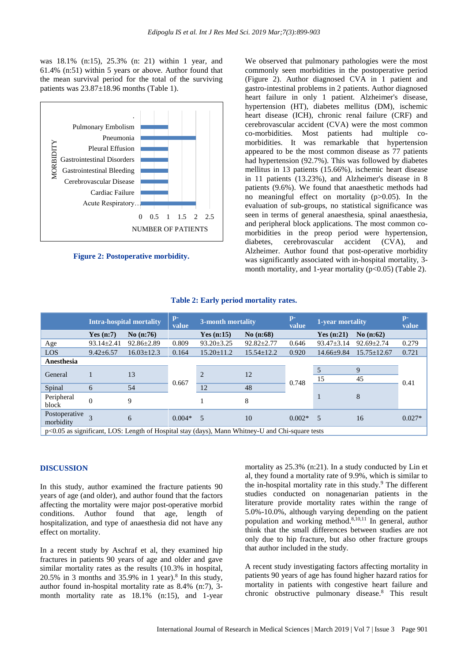was 18.1% (n:15), 25.3% (n: 21) within 1 year, and 61.4% (n:51) within 5 years or above. Author found that the mean survival period for the total of the surviving patients was 23.87±18.96 months (Table 1).



**Figure 2: Postoperative morbidity.**

We observed that pulmonary pathologies were the most commonly seen morbidities in the postoperative period (Figure 2). Author diagnosed CVA in 1 patient and gastro-intestinal problems in 2 patients. Author diagnosed heart failure in only 1 patient. Alzheimer's disease, hypertension (HT), diabetes mellitus (DM), ischemic heart disease (ICH), chronic renal failure (CRF) and cerebrovascular accident (CVA) were the most common co-morbidities. Most patients had multiple comorbidities. It was remarkable that hypertension appeared to be the most common disease as 77 patients had hypertension (92.7%). This was followed by diabetes mellitus in 13 patients (15.66%), ischemic heart disease in 11 patients (13.23%), and Alzheimer's disease in 8 patients (9.6%). We found that anaesthetic methods had no meaningful effect on mortality (p>0.05). In the evaluation of sub-groups, no statistical significance was seen in terms of general anaesthesia, spinal anaesthesia, and peripheral block applications. The most common comorbidities in the preop period were hypertension, diabetes, cerebrovascular accident (CVA), and Alzheimer. Author found that post-operative morbidity was significantly associated with in-hospital mortality, 3 month mortality, and 1-year mortality  $(p<0.05)$  (Table 2).

|                                                                                                   | <b>Intra-hospital mortality</b> |                  | $p-$<br>value | 3-month mortality |                  | $p-$<br>value | 1-year mortality |                   | $p-$<br>value |  |
|---------------------------------------------------------------------------------------------------|---------------------------------|------------------|---------------|-------------------|------------------|---------------|------------------|-------------------|---------------|--|
|                                                                                                   | Yes $(n:7)$                     | No $(n:76)$      |               | Yes $(n:15)$      | No $(n:68)$      |               | Yes $(n:21)$     | No $(n:62)$       |               |  |
| Age                                                                                               | $93.14 \pm 2.41$                | $92.86 \pm 2.89$ | 0.809         | $93.20 \pm 3.25$  | $92.82 \pm 2.77$ | 0.646         | $93.47 \pm 3.14$ | $92.69 \pm 2.74$  | 0.279         |  |
| LOS                                                                                               | $9.42 \pm 6.57$                 | $16.03 \pm 12.3$ | 0.164         | $15.20 \pm 11.2$  | $15.54 \pm 12.2$ | 0.920         | $14.66 \pm 9.84$ | $15.75 \pm 12.67$ | 0.721         |  |
| Anesthesia                                                                                        |                                 |                  |               |                   |                  |               |                  |                   |               |  |
|                                                                                                   |                                 |                  |               | $\overline{2}$    | 12               | 0.748         | 5                | 9                 | 0.41          |  |
| General                                                                                           |                                 | 13               |               |                   |                  |               | 15               | 45                |               |  |
| Spinal                                                                                            | 6                               | 54               | 0.667         | 12                | 48               |               | 1                | 8                 |               |  |
| Peripheral                                                                                        | $\Omega$                        | 9                |               |                   | 8                |               |                  |                   |               |  |
| block                                                                                             |                                 |                  |               |                   |                  |               |                  |                   |               |  |
| Postoperative<br>morbidity                                                                        |                                 | 6                | $0.004*$      | 5                 | 10               | $0.002*$      | - 5              | 16                | $0.027*$      |  |
| $p<0.05$ as significant, LOS: Length of Hospital stay (days), Mann Whitney-U and Chi-square tests |                                 |                  |               |                   |                  |               |                  |                   |               |  |

#### **Table 2: Early period mortality rates.**

#### **DISCUSSION**

In this study, author examined the fracture patients 90 years of age (and older), and author found that the factors affecting the mortality were major post-operative morbid conditions. Author found that age, length of hospitalization, and type of anaesthesia did not have any effect on mortality.

In a recent study by Aschraf et al, they examined hip fractures in patients 90 years of age and older and gave similar mortality rates as the results (10.3% in hospital,  $20.5\%$  in 3 months and 35.9% in 1 year).<sup>8</sup> In this study, author found in-hospital mortality rate as 8.4% (n:7), 3 month mortality rate as 18.1% (n:15), and 1-year

mortality as 25.3% (n:21). In a study conducted by Lin et al, they found a mortality rate of 9.9%, which is similar to the in-hospital mortality rate in this study.<sup>9</sup> The different studies conducted on nonagenarian patients in the literature provide mortality rates within the range of 5.0%-10.0%, although varying depending on the patient population and working method.8,10,11 In general, author think that the small differences between studies are not only due to hip fracture, but also other fracture groups that author included in the study.

A recent study investigating factors affecting mortality in patients 90 years of age has found higher hazard ratios for mortality in patients with congestive heart failure and chronic obstructive pulmonary disease.<sup>8</sup> This result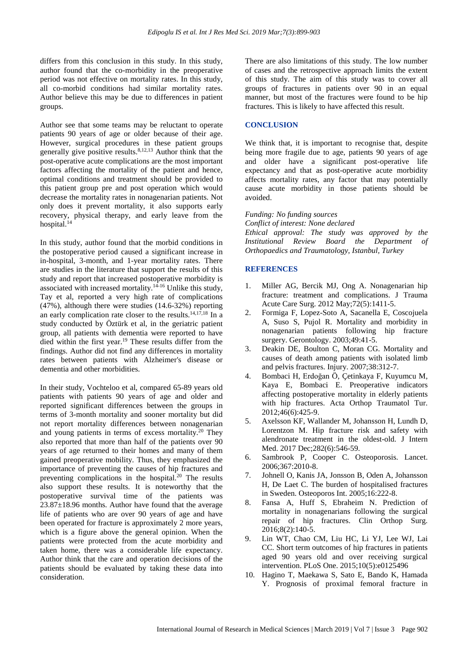differs from this conclusion in this study. In this study, author found that the co-morbidity in the preoperative period was not effective on mortality rates. In this study, all co-morbid conditions had similar mortality rates. Author believe this may be due to differences in patient groups.

Author see that some teams may be reluctant to operate patients 90 years of age or older because of their age. However, surgical procedures in these patient groups generally give positive results.8,12,13 Author think that the post-operative acute complications are the most important factors affecting the mortality of the patient and hence, optimal conditions and treatment should be provided to this patient group pre and post operation which would decrease the mortality rates in nonagenarian patients. Not only does it prevent mortality, it also supports early recovery, physical therapy, and early leave from the hospital.<sup>14</sup>

In this study, author found that the morbid conditions in the postoperative period caused a significant increase in in-hospital, 3-month, and 1-year mortality rates. There are studies in the literature that support the results of this study and report that increased postoperative morbidity is associated with increased mortality.<sup>14-16</sup> Unlike this study, Tay et al, reported a very high rate of complications (47%), although there were studies (14.6-32%) reporting an early complication rate closer to the results.<sup>14,17,18</sup> In a study conducted by Öztürk et al, in the geriatric patient group, all patients with dementia were reported to have died within the first year. <sup>19</sup> These results differ from the findings. Author did not find any differences in mortality rates between patients with Alzheimer's disease or dementia and other morbidities.

In their study, Vochteloo et al, compared 65-89 years old patients with patients 90 years of age and older and reported significant differences between the groups in terms of 3-month mortality and sooner mortality but did not report mortality differences between nonagenarian and young patients in terms of excess mortality.<sup>20</sup> They also reported that more than half of the patients over 90 years of age returned to their homes and many of them gained preoperative mobility. Thus, they emphasized the importance of preventing the causes of hip fractures and preventing complications in the hospital.<sup>20</sup> The results also support these results. It is noteworthy that the postoperative survival time of the patients was 23.87±18.96 months. Author have found that the average life of patients who are over 90 years of age and have been operated for fracture is approximately 2 more years, which is a figure above the general opinion. When the patients were protected from the acute morbidity and taken home, there was a considerable life expectancy. Author think that the care and operation decisions of the patients should be evaluated by taking these data into consideration.

There are also limitations of this study. The low number of cases and the retrospective approach limits the extent of this study. The aim of this study was to cover all groups of fractures in patients over 90 in an equal manner, but most of the fractures were found to be hip fractures. This is likely to have affected this result.

#### **CONCLUSION**

We think that, it is important to recognise that, despite being more fragile due to age, patients 90 years of age and older have a significant post-operative life expectancy and that as post-operative acute morbidity affects mortality rates, any factor that may potentially cause acute morbidity in those patients should be avoided.

#### *Funding: No funding sources*

*Conflict of interest: None declared Ethical approval: The study was approved by the Institutional Review Board the Department of Orthopaedics and Traumatology, Istanbul, Turkey*

#### **REFERENCES**

- 1. Miller AG, Bercik MJ, Ong A. Nonagenarian hip fracture: treatment and complications. J Trauma Acute Care Surg. 2012 May;72(5):1411-5.
- 2. Formiga F, Lopez-Soto A, Sacanella E, Coscojuela A, Suso S, Pujol R. Mortality and morbidity in nonagenarian patients following hip fracture surgery. Gerontology. 2003;49:41-5.
- 3. Deakin DE, Boulton C, Moran CG. Mortality and causes of death among patients with isolated limb and pelvis fractures. Injury. 2007;38:312-7.
- 4. Bombaci H, Erdoğan Ö, Çetinkaya F, Kuyumcu M, Kaya E, Bombaci E. Preoperative indicators affecting postoperative mortality in elderly patients with hip fractures. Acta Orthop Traumatol Tur. 2012;46(6):425-9.
- 5. Axelsson KF, Wallander M, Johansson H, Lundh D, Lorentzon M. Hip fracture risk and safety with alendronate treatment in the oldest-old. J Intern Med. 2017 Dec;282(6):546-59.
- 6. Sambrook P, Cooper C. Osteoporosis. Lancet. 2006;367:2010-8.
- 7. Johnell O, Kanis JA, Jonsson B, Oden A, Johansson H, De Laet C. The burden of hospitalised fractures in Sweden. Osteoporos Int. 2005;16:222-8.
- 8. Fansa A, Huff S, Ebraheim N. Prediction of mortality in nonagenarians following the surgical repair of hip fractures. Clin Orthop Surg. 2016;8(2):140-5.
- 9. Lin WT, Chao CM, Liu HC, Li YJ, Lee WJ, Lai CC. Short term outcomes of hip fractures in patients aged 90 years old and over receiving surgical intervention. PLoS One. 2015;10(5):e0125496
- 10. Hagino T, Maekawa S, Sato E, Bando K, Hamada Y. Prognosis of proximal femoral fracture in